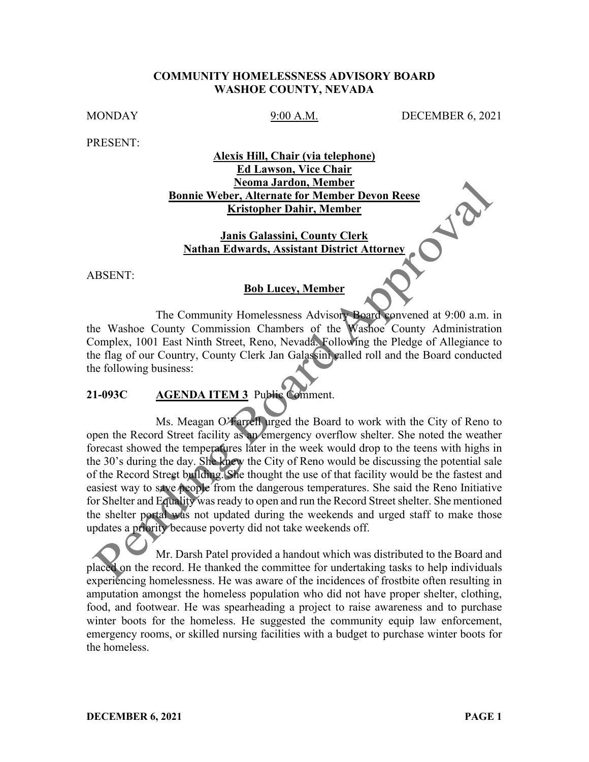### **COMMUNITY HOMELESSNESS ADVISORY BOARD WASHOE COUNTY, NEVADA**

MONDAY 9:00 A.M. DECEMBER 6, 2021

PRESENT:

# **Alexis Hill, Chair (via telephone) Ed Lawson, Vice Chair Neoma Jardon, Member Bonnie Weber, Alternate for Member Devon Reese Kristopher Dahir, Member**

**Janis Galassini, County Clerk Nathan Edwards, Assistant District Attorney**

ABSENT:

#### **Bob Lucey, Member**

The Community Homelessness Advisory Board convened at 9:00 a.m. in the Washoe County Commission Chambers of the Washoe County Administration Complex, 1001 East Ninth Street, Reno, Nevada. Following the Pledge of Allegiance to the flag of our Country, County Clerk Jan Galassini called roll and the Board conducted the following business:

# **21-093C AGENDA ITEM 3** Public Comment.

Ms. Meagan O'Farrell urged the Board to work with the City of Reno to open the Record Street facility as an emergency overflow shelter. She noted the weather forecast showed the temperatures later in the week would drop to the teens with highs in the 30's during the day. She knew the City of Reno would be discussing the potential sale of the Record Street building. She thought the use of that facility would be the fastest and easiest way to save people from the dangerous temperatures. She said the Reno Initiative for Shelter and Equality was ready to open and run the Record Street shelter. She mentioned the shelter portal was not updated during the weekends and urged staff to make those updates a priority because poverty did not take weekends off.

Mr. Darsh Patel provided a handout which was distributed to the Board and placed on the record. He thanked the committee for undertaking tasks to help individuals experiencing homelessness. He was aware of the incidences of frostbite often resulting in amputation amongst the homeless population who did not have proper shelter, clothing, food, and footwear. He was spearheading a project to raise awareness and to purchase winter boots for the homeless. He suggested the community equip law enforcement, emergency rooms, or skilled nursing facilities with a budget to purchase winter boots for the homeless.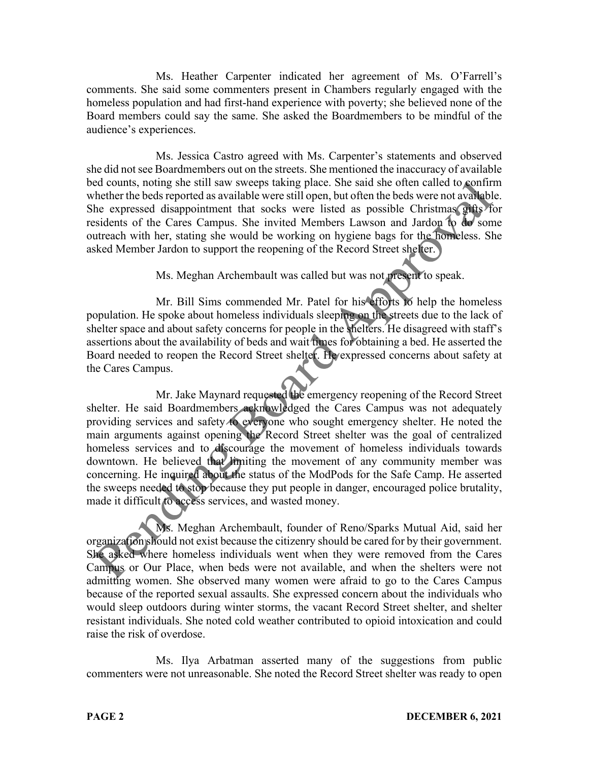Ms. Heather Carpenter indicated her agreement of Ms. O'Farrell's comments. She said some commenters present in Chambers regularly engaged with the homeless population and had first-hand experience with poverty; she believed none of the Board members could say the same. She asked the Boardmembers to be mindful of the audience's experiences.

Ms. Jessica Castro agreed with Ms. Carpenter's statements and observed she did not see Boardmembers out on the streets. She mentioned the inaccuracy of available bed counts, noting she still saw sweeps taking place. She said she often called to confirm whether the beds reported as available were still open, but often the beds were not available. She expressed disappointment that socks were listed as possible Christmas gifts for residents of the Cares Campus. She invited Members Lawson and Jardon to do some outreach with her, stating she would be working on hygiene bags for the homeless. She asked Member Jardon to support the reopening of the Record Street shelter.

Ms. Meghan Archembault was called but was not present to speak.

Mr. Bill Sims commended Mr. Patel for his efforts to help the homeless population. He spoke about homeless individuals sleeping on the streets due to the lack of shelter space and about safety concerns for people in the shelters. He disagreed with staff's assertions about the availability of beds and wait times for obtaining a bed. He asserted the Board needed to reopen the Record Street shelter. He expressed concerns about safety at the Cares Campus.

Mr. Jake Maynard requested the emergency reopening of the Record Street shelter. He said Boardmembers acknowledged the Cares Campus was not adequately providing services and safety to everyone who sought emergency shelter. He noted the main arguments against opening the Record Street shelter was the goal of centralized homeless services and to discourage the movement of homeless individuals towards downtown. He believed that limiting the movement of any community member was concerning. He inquired about the status of the ModPods for the Safe Camp. He asserted the sweeps needed to stop because they put people in danger, encouraged police brutality, made it difficult to access services, and wasted money.

Ms. Meghan Archembault, founder of Reno/Sparks Mutual Aid, said her organization should not exist because the citizenry should be cared for by their government. She asked where homeless individuals went when they were removed from the Cares Campus or Our Place, when beds were not available, and when the shelters were not admitting women. She observed many women were afraid to go to the Cares Campus because of the reported sexual assaults. She expressed concern about the individuals who would sleep outdoors during winter storms, the vacant Record Street shelter, and shelter resistant individuals. She noted cold weather contributed to opioid intoxication and could raise the risk of overdose.

Ms. Ilya Arbatman asserted many of the suggestions from public commenters were not unreasonable. She noted the Record Street shelter was ready to open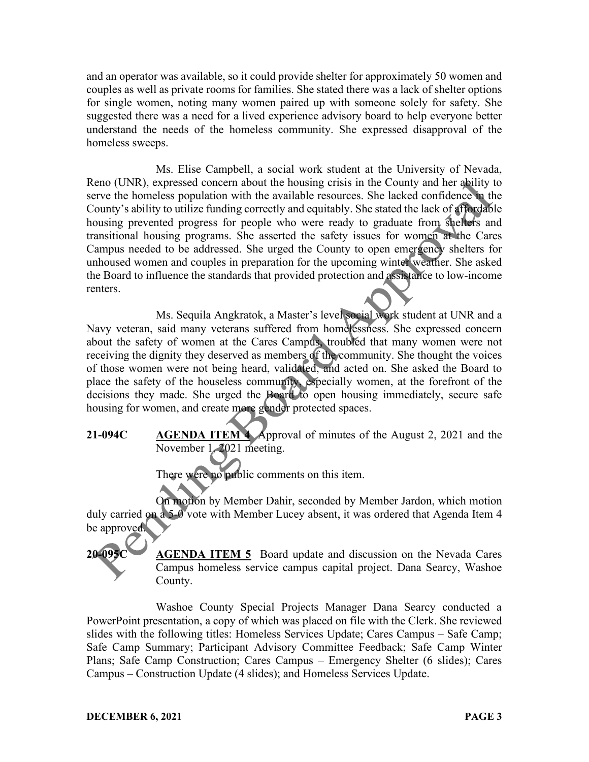and an operator was available, so it could provide shelter for approximately 50 women and couples as well as private rooms for families. She stated there was a lack of shelter options for single women, noting many women paired up with someone solely for safety. She suggested there was a need for a lived experience advisory board to help everyone better understand the needs of the homeless community. She expressed disapproval of the homeless sweeps.

Ms. Elise Campbell, a social work student at the University of Nevada, Reno (UNR), expressed concern about the housing crisis in the County and her ability to serve the homeless population with the available resources. She lacked confidence in the County's ability to utilize funding correctly and equitably. She stated the lack of affordable housing prevented progress for people who were ready to graduate from shelters and transitional housing programs. She asserted the safety issues for women at the Cares Campus needed to be addressed. She urged the County to open emergency shelters for unhoused women and couples in preparation for the upcoming winter weather. She asked the Board to influence the standards that provided protection and assistance to low-income renters.

Ms. Sequila Angkratok, a Master's level social work student at UNR and a Navy veteran, said many veterans suffered from homelessness. She expressed concern about the safety of women at the Cares Campus, troubled that many women were not receiving the dignity they deserved as members of the community. She thought the voices of those women were not being heard, validated, and acted on. She asked the Board to place the safety of the houseless community, especially women, at the forefront of the decisions they made. She urged the Board to open housing immediately, secure safe housing for women, and create more gender protected spaces.

**21-094C AGENDA ITEM 4** Approval of minutes of the August 2, 2021 and the November 1, 2021 meeting.

There were no public comments on this item.

On motion by Member Dahir, seconded by Member Jardon, which motion duly carried on a 5-0 vote with Member Lucey absent, it was ordered that Agenda Item 4 be approved.

**AGENDA ITEM 5** Board update and discussion on the Nevada Cares Campus homeless service campus capital project. Dana Searcy, Washoe County.

Washoe County Special Projects Manager Dana Searcy conducted a PowerPoint presentation, a copy of which was placed on file with the Clerk. She reviewed slides with the following titles: Homeless Services Update; Cares Campus – Safe Camp; Safe Camp Summary; Participant Advisory Committee Feedback; Safe Camp Winter Plans; Safe Camp Construction; Cares Campus – Emergency Shelter (6 slides); Cares Campus – Construction Update (4 slides); and Homeless Services Update.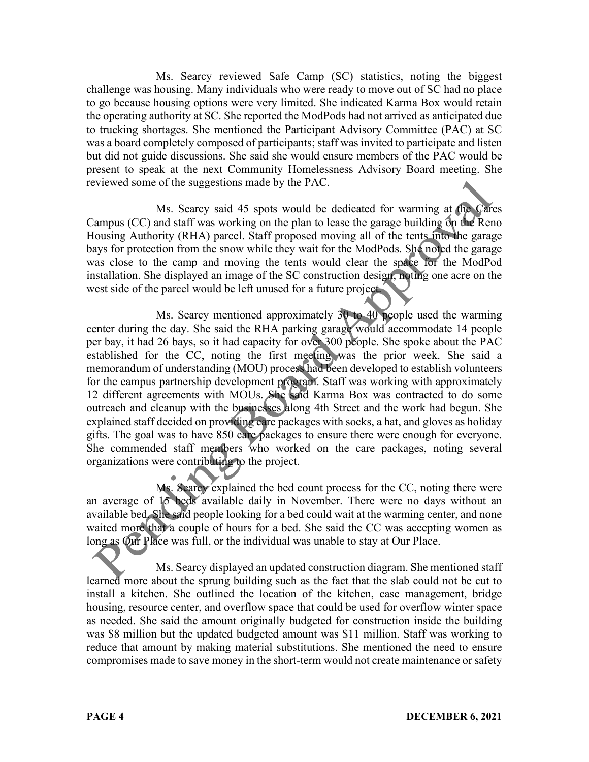Ms. Searcy reviewed Safe Camp (SC) statistics, noting the biggest challenge was housing. Many individuals who were ready to move out of SC had no place to go because housing options were very limited. She indicated Karma Box would retain the operating authority at SC. She reported the ModPods had not arrived as anticipated due to trucking shortages. She mentioned the Participant Advisory Committee (PAC) at SC was a board completely composed of participants; staff was invited to participate and listen but did not guide discussions. She said she would ensure members of the PAC would be present to speak at the next Community Homelessness Advisory Board meeting. She reviewed some of the suggestions made by the PAC.

Ms. Searcy said 45 spots would be dedicated for warming at the Cares Campus (CC) and staff was working on the plan to lease the garage building on the Reno Housing Authority (RHA) parcel. Staff proposed moving all of the tents into the garage bays for protection from the snow while they wait for the ModPods. She noted the garage was close to the camp and moving the tents would clear the space for the ModPod installation. She displayed an image of the SC construction design, noting one acre on the west side of the parcel would be left unused for a future project.

Ms. Searcy mentioned approximately 30 to 40 people used the warming center during the day. She said the RHA parking garage would accommodate 14 people per bay, it had 26 bays, so it had capacity for over 300 people. She spoke about the PAC established for the CC, noting the first meeting was the prior week. She said a memorandum of understanding (MOU) process had been developed to establish volunteers for the campus partnership development program. Staff was working with approximately 12 different agreements with MOUs. She said Karma Box was contracted to do some outreach and cleanup with the businesses along 4th Street and the work had begun. She explained staff decided on providing care packages with socks, a hat, and gloves as holiday gifts. The goal was to have 850 care packages to ensure there were enough for everyone. She commended staff members who worked on the care packages, noting several organizations were contributing to the project.

Ms. Searcy explained the bed count process for the CC, noting there were an average of 15 beds available daily in November. There were no days without an available bed. She said people looking for a bed could wait at the warming center, and none waited more that a couple of hours for a bed. She said the CC was accepting women as long as Our Place was full, or the individual was unable to stay at Our Place.

Ms. Searcy displayed an updated construction diagram. She mentioned staff learned more about the sprung building such as the fact that the slab could not be cut to install a kitchen. She outlined the location of the kitchen, case management, bridge housing, resource center, and overflow space that could be used for overflow winter space as needed. She said the amount originally budgeted for construction inside the building was \$8 million but the updated budgeted amount was \$11 million. Staff was working to reduce that amount by making material substitutions. She mentioned the need to ensure compromises made to save money in the short-term would not create maintenance or safety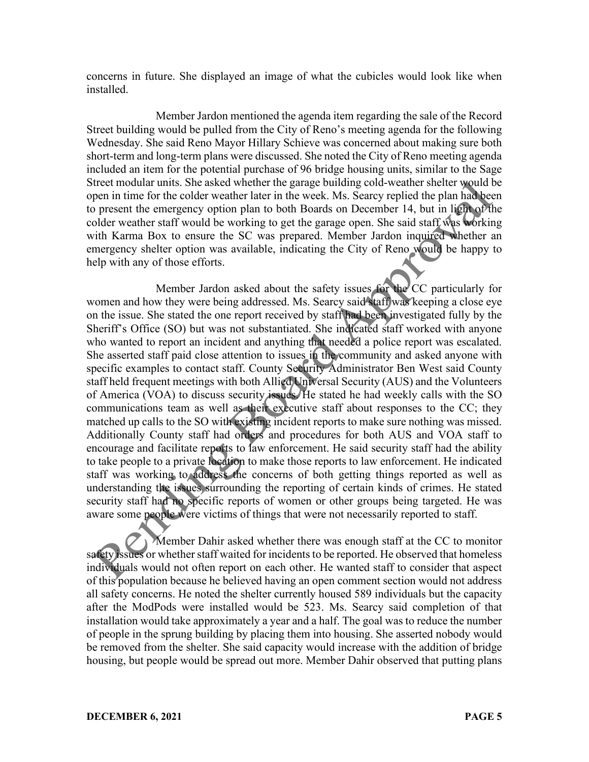concerns in future. She displayed an image of what the cubicles would look like when installed.

Member Jardon mentioned the agenda item regarding the sale of the Record Street building would be pulled from the City of Reno's meeting agenda for the following Wednesday. She said Reno Mayor Hillary Schieve was concerned about making sure both short-term and long-term plans were discussed. She noted the City of Reno meeting agenda included an item for the potential purchase of 96 bridge housing units, similar to the Sage Street modular units. She asked whether the garage building cold-weather shelter would be open in time for the colder weather later in the week. Ms. Searcy replied the plan had been to present the emergency option plan to both Boards on December 14, but in light of the colder weather staff would be working to get the garage open. She said staff was working with Karma Box to ensure the SC was prepared. Member Jardon inquired whether an emergency shelter option was available, indicating the City of Reno would be happy to help with any of those efforts.

Member Jardon asked about the safety issues for the CC particularly for women and how they were being addressed. Ms. Searcy said staff was keeping a close eye on the issue. She stated the one report received by staff had been investigated fully by the Sheriff's Office (SO) but was not substantiated. She indicated staff worked with anyone who wanted to report an incident and anything that needed a police report was escalated. She asserted staff paid close attention to issues in the community and asked anyone with specific examples to contact staff. County Security Administrator Ben West said County staff held frequent meetings with both Allied Universal Security (AUS) and the Volunteers of America (VOA) to discuss security issues. He stated he had weekly calls with the SO communications team as well as their executive staff about responses to the CC; they matched up calls to the SO with existing incident reports to make sure nothing was missed. Additionally County staff had orders and procedures for both AUS and VOA staff to encourage and facilitate reports to law enforcement. He said security staff had the ability to take people to a private location to make those reports to law enforcement. He indicated staff was working to address the concerns of both getting things reported as well as understanding the issues surrounding the reporting of certain kinds of crimes. He stated security staff had no specific reports of women or other groups being targeted. He was aware some people were victims of things that were not necessarily reported to staff.

Member Dahir asked whether there was enough staff at the CC to monitor safety issues or whether staff waited for incidents to be reported. He observed that homeless individuals would not often report on each other. He wanted staff to consider that aspect of this population because he believed having an open comment section would not address all safety concerns. He noted the shelter currently housed 589 individuals but the capacity after the ModPods were installed would be 523. Ms. Searcy said completion of that installation would take approximately a year and a half. The goal was to reduce the number of people in the sprung building by placing them into housing. She asserted nobody would be removed from the shelter. She said capacity would increase with the addition of bridge housing, but people would be spread out more. Member Dahir observed that putting plans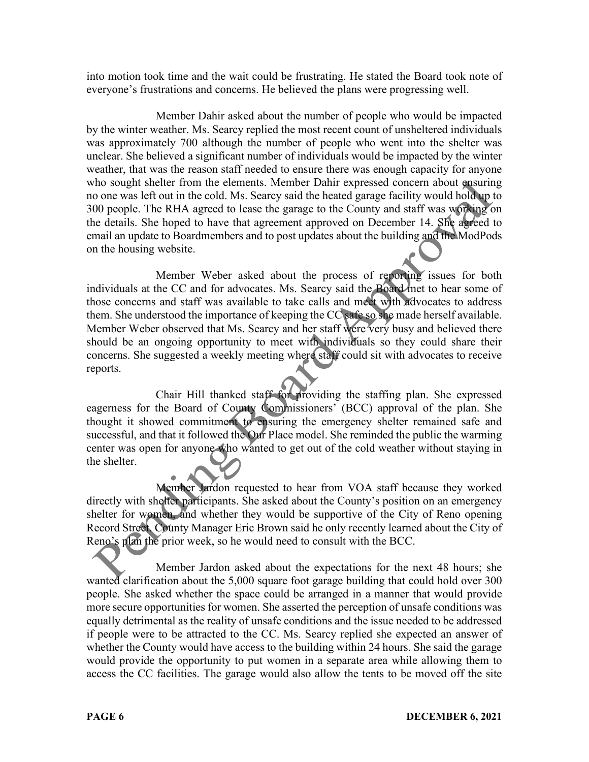into motion took time and the wait could be frustrating. He stated the Board took note of everyone's frustrations and concerns. He believed the plans were progressing well.

Member Dahir asked about the number of people who would be impacted by the winter weather. Ms. Searcy replied the most recent count of unsheltered individuals was approximately 700 although the number of people who went into the shelter was unclear. She believed a significant number of individuals would be impacted by the winter weather, that was the reason staff needed to ensure there was enough capacity for anyone who sought shelter from the elements. Member Dahir expressed concern about ensuring no one was left out in the cold. Ms. Searcy said the heated garage facility would hold up to 300 people. The RHA agreed to lease the garage to the County and staff was working on the details. She hoped to have that agreement approved on December 14. She agreed to email an update to Boardmembers and to post updates about the building and the ModPods on the housing website.

Member Weber asked about the process of reporting issues for both individuals at the CC and for advocates. Ms. Searcy said the Board met to hear some of those concerns and staff was available to take calls and meet with advocates to address them. She understood the importance of keeping the CC safe so she made herself available. Member Weber observed that Ms. Searcy and her staff were very busy and believed there should be an ongoing opportunity to meet with individuals so they could share their concerns. She suggested a weekly meeting where staff could sit with advocates to receive reports.

Chair Hill thanked staff for providing the staffing plan. She expressed eagerness for the Board of County Commissioners' (BCC) approval of the plan. She thought it showed commitment to ensuring the emergency shelter remained safe and successful, and that it followed the Our Place model. She reminded the public the warming center was open for anyone who wanted to get out of the cold weather without staying in the shelter.

Member Jardon requested to hear from VOA staff because they worked directly with shelter participants. She asked about the County's position on an emergency shelter for women, and whether they would be supportive of the City of Reno opening Record Street. County Manager Eric Brown said he only recently learned about the City of Reno's plan the prior week, so he would need to consult with the BCC.

Member Jardon asked about the expectations for the next 48 hours; she wanted clarification about the 5,000 square foot garage building that could hold over 300 people. She asked whether the space could be arranged in a manner that would provide more secure opportunities for women. She asserted the perception of unsafe conditions was equally detrimental as the reality of unsafe conditions and the issue needed to be addressed if people were to be attracted to the CC. Ms. Searcy replied she expected an answer of whether the County would have access to the building within 24 hours. She said the garage would provide the opportunity to put women in a separate area while allowing them to access the CC facilities. The garage would also allow the tents to be moved off the site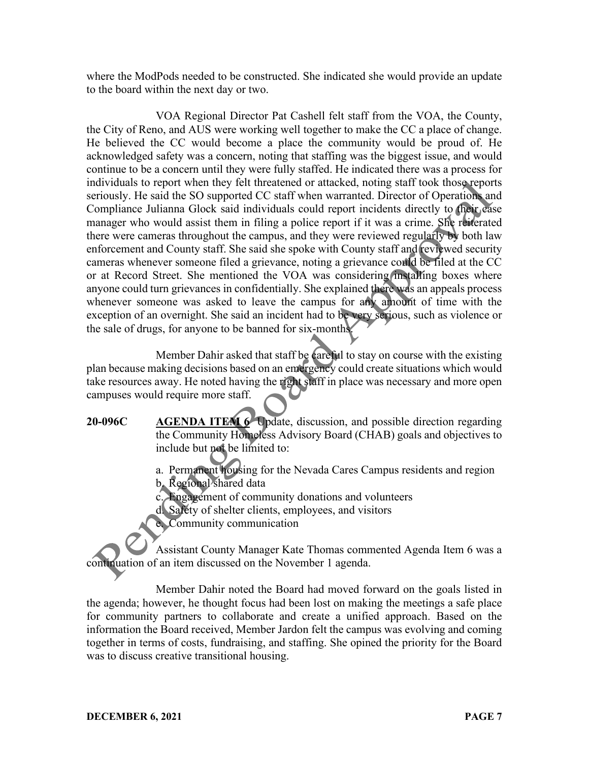where the ModPods needed to be constructed. She indicated she would provide an update to the board within the next day or two.

VOA Regional Director Pat Cashell felt staff from the VOA, the County, the City of Reno, and AUS were working well together to make the CC a place of change. He believed the CC would become a place the community would be proud of. He acknowledged safety was a concern, noting that staffing was the biggest issue, and would continue to be a concern until they were fully staffed. He indicated there was a process for individuals to report when they felt threatened or attacked, noting staff took those reports seriously. He said the SO supported CC staff when warranted. Director of Operations and Compliance Julianna Glock said individuals could report incidents directly to their case manager who would assist them in filing a police report if it was a crime. She reiterated there were cameras throughout the campus, and they were reviewed regularly by both law enforcement and County staff. She said she spoke with County staff and reviewed security cameras whenever someone filed a grievance, noting a grievance could be filed at the CC or at Record Street. She mentioned the VOA was considering installing boxes where anyone could turn grievances in confidentially. She explained there was an appeals process whenever someone was asked to leave the campus for any amount of time with the exception of an overnight. She said an incident had to be very serious, such as violence or the sale of drugs, for anyone to be banned for six-months.

Member Dahir asked that staff be careful to stay on course with the existing plan because making decisions based on an emergency could create situations which would take resources away. He noted having the right staff in place was necessary and more open campuses would require more staff.

**20-096C AGENDA ITEM 6** Update, discussion, and possible direction regarding the Community Homeless Advisory Board (CHAB) goals and objectives to include but not be limited to:

> a. Permanent housing for the Nevada Cares Campus residents and region b. Regional shared data

c. Engagement of community donations and volunteers

d. Safety of shelter clients, employees, and visitors

e. Community communication

Assistant County Manager Kate Thomas commented Agenda Item 6 was a continuation of an item discussed on the November 1 agenda.

Member Dahir noted the Board had moved forward on the goals listed in the agenda; however, he thought focus had been lost on making the meetings a safe place for community partners to collaborate and create a unified approach. Based on the information the Board received, Member Jardon felt the campus was evolving and coming together in terms of costs, fundraising, and staffing. She opined the priority for the Board was to discuss creative transitional housing.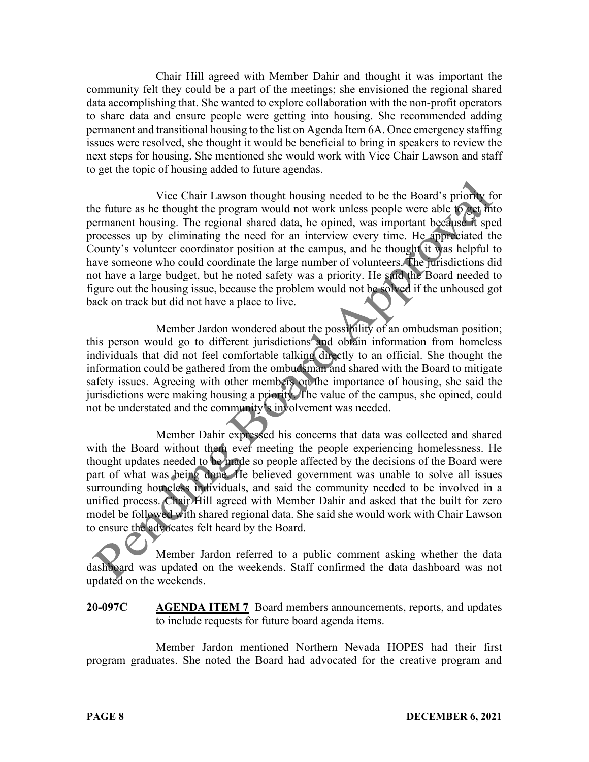Chair Hill agreed with Member Dahir and thought it was important the community felt they could be a part of the meetings; she envisioned the regional shared data accomplishing that. She wanted to explore collaboration with the non-profit operators to share data and ensure people were getting into housing. She recommended adding permanent and transitional housing to the list on Agenda Item 6A. Once emergency staffing issues were resolved, she thought it would be beneficial to bring in speakers to review the next steps for housing. She mentioned she would work with Vice Chair Lawson and staff to get the topic of housing added to future agendas.

Vice Chair Lawson thought housing needed to be the Board's priority for the future as he thought the program would not work unless people were able to get into permanent housing. The regional shared data, he opined, was important because it sped processes up by eliminating the need for an interview every time. He appreciated the County's volunteer coordinator position at the campus, and he thought it was helpful to have someone who could coordinate the large number of volunteers. The jurisdictions did not have a large budget, but he noted safety was a priority. He said the Board needed to figure out the housing issue, because the problem would not be solved if the unhoused got back on track but did not have a place to live.

Member Jardon wondered about the possibility of an ombudsman position; this person would go to different jurisdictions and obtain information from homeless individuals that did not feel comfortable talking directly to an official. She thought the information could be gathered from the ombudsman and shared with the Board to mitigate safety issues. Agreeing with other members on the importance of housing, she said the jurisdictions were making housing a priority. The value of the campus, she opined, could not be understated and the community's involvement was needed.

Member Dahir expressed his concerns that data was collected and shared with the Board without them ever meeting the people experiencing homelessness. He thought updates needed to be made so people affected by the decisions of the Board were part of what was being done. He believed government was unable to solve all issues surrounding homeless individuals, and said the community needed to be involved in a unified process. Chair Hill agreed with Member Dahir and asked that the built for zero model be followed with shared regional data. She said she would work with Chair Lawson to ensure the advocates felt heard by the Board.

Member Jardon referred to a public comment asking whether the data dashboard was updated on the weekends. Staff confirmed the data dashboard was not updated on the weekends.

# **20-097C AGENDA ITEM 7** Board members announcements, reports, and updates to include requests for future board agenda items.

Member Jardon mentioned Northern Nevada HOPES had their first program graduates. She noted the Board had advocated for the creative program and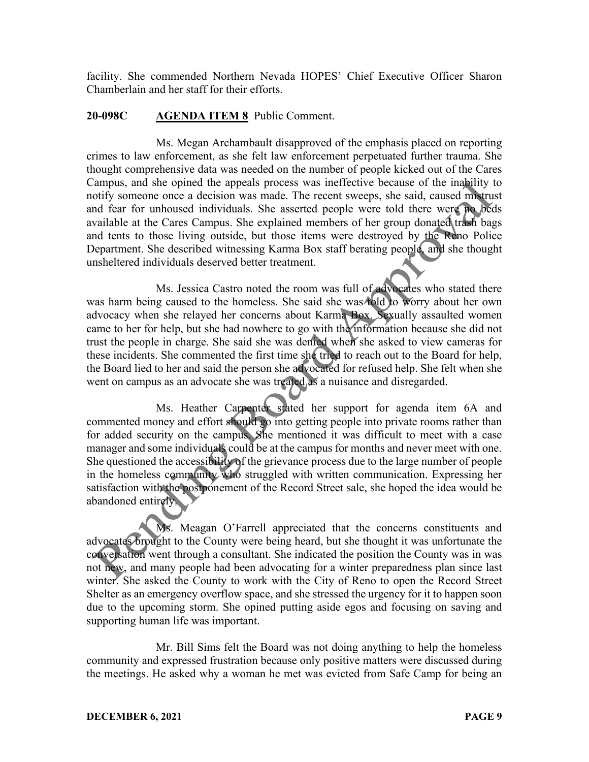facility. She commended Northern Nevada HOPES' Chief Executive Officer Sharon Chamberlain and her staff for their efforts.

### **20-098C AGENDA ITEM 8** Public Comment.

Ms. Megan Archambault disapproved of the emphasis placed on reporting crimes to law enforcement, as she felt law enforcement perpetuated further trauma. She thought comprehensive data was needed on the number of people kicked out of the Cares Campus, and she opined the appeals process was ineffective because of the inability to notify someone once a decision was made. The recent sweeps, she said, caused mistrust and fear for unhoused individuals. She asserted people were told there were no beds available at the Cares Campus. She explained members of her group donated trash bags and tents to those living outside, but those items were destroyed by the Reno Police Department. She described witnessing Karma Box staff berating people, and she thought unsheltered individuals deserved better treatment.

Ms. Jessica Castro noted the room was full of advocates who stated there was harm being caused to the homeless. She said she was told to worry about her own advocacy when she relayed her concerns about Karma Box. Sexually assaulted women came to her for help, but she had nowhere to go with the information because she did not trust the people in charge. She said she was denied when she asked to view cameras for these incidents. She commented the first time she tried to reach out to the Board for help, the Board lied to her and said the person she advocated for refused help. She felt when she went on campus as an advocate she was treated as a nuisance and disregarded.

Ms. Heather Carpenter stated her support for agenda item 6A and commented money and effort should go into getting people into private rooms rather than for added security on the campus. She mentioned it was difficult to meet with a case manager and some individuals could be at the campus for months and never meet with one. She questioned the accessibility of the grievance process due to the large number of people in the homeless community who struggled with written communication. Expressing her satisfaction with the postponement of the Record Street sale, she hoped the idea would be abandoned entirely.

Ms. Meagan O'Farrell appreciated that the concerns constituents and advocates brought to the County were being heard, but she thought it was unfortunate the conversation went through a consultant. She indicated the position the County was in was not new, and many people had been advocating for a winter preparedness plan since last winter. She asked the County to work with the City of Reno to open the Record Street Shelter as an emergency overflow space, and she stressed the urgency for it to happen soon due to the upcoming storm. She opined putting aside egos and focusing on saving and supporting human life was important.

Mr. Bill Sims felt the Board was not doing anything to help the homeless community and expressed frustration because only positive matters were discussed during the meetings. He asked why a woman he met was evicted from Safe Camp for being an